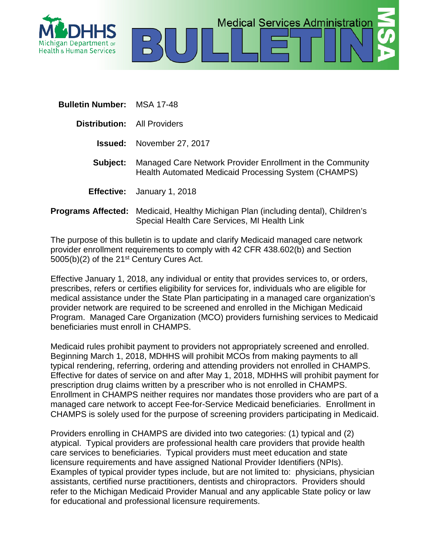



**Distribution:** All Providers

- **Issued:** November 27, 2017
- **Subject:** Managed Care Network Provider Enrollment in the Community Health Automated Medicaid Processing System (CHAMPS)

**Medical Services Administration** 

- **Effective:** January 1, 2018
- **Programs Affected:** Medicaid, Healthy Michigan Plan (including dental), Children's Special Health Care Services, MI Health Link

The purpose of this bulletin is to update and clarify Medicaid managed care network provider enrollment requirements to comply with 42 CFR 438.602(b) and Section 5005(b)(2) of the 21<sup>st</sup> Century Cures Act.

Effective January 1, 2018, any individual or entity that provides services to, or orders, prescribes, refers or certifies eligibility for services for, individuals who are eligible for medical assistance under the State Plan participating in a managed care organization's provider network are required to be screened and enrolled in the Michigan Medicaid Program. Managed Care Organization (MCO) providers furnishing services to Medicaid beneficiaries must enroll in CHAMPS.

Medicaid rules prohibit payment to providers not appropriately screened and enrolled. Beginning March 1, 2018, MDHHS will prohibit MCOs from making payments to all typical rendering, referring, ordering and attending providers not enrolled in CHAMPS. Effective for dates of service on and after May 1, 2018, MDHHS will prohibit payment for prescription drug claims written by a prescriber who is not enrolled in CHAMPS. Enrollment in CHAMPS neither requires nor mandates those providers who are part of a managed care network to accept Fee-for-Service Medicaid beneficiaries. Enrollment in CHAMPS is solely used for the purpose of screening providers participating in Medicaid.

Providers enrolling in CHAMPS are divided into two categories: (1) typical and (2) atypical. Typical providers are professional health care providers that provide health care services to beneficiaries. Typical providers must meet education and state licensure requirements and have assigned National Provider Identifiers (NPIs). Examples of typical provider types include, but are not limited to: physicians, physician assistants, certified nurse practitioners, dentists and chiropractors. Providers should refer to the Michigan Medicaid Provider Manual and any applicable State policy or law for educational and professional licensure requirements.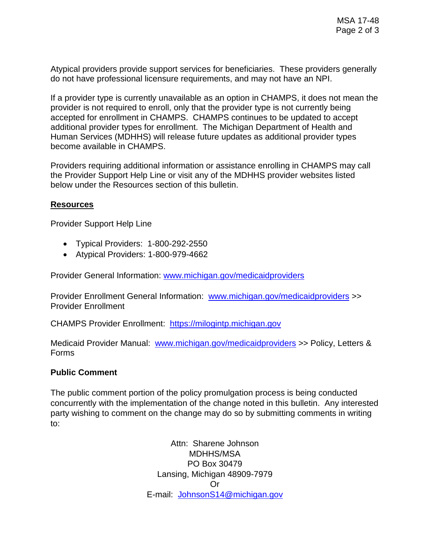Atypical providers provide support services for beneficiaries. These providers generally do not have professional licensure requirements, and may not have an NPI.

If a provider type is currently unavailable as an option in CHAMPS, it does not mean the provider is not required to enroll, only that the provider type is not currently being accepted for enrollment in CHAMPS. CHAMPS continues to be updated to accept additional provider types for enrollment. The Michigan Department of Health and Human Services (MDHHS) will release future updates as additional provider types become available in CHAMPS.

Providers requiring additional information or assistance enrolling in CHAMPS may call the Provider Support Help Line or visit any of the MDHHS provider websites listed below under the Resources section of this bulletin.

## **Resources**

Provider Support Help Line

- Typical Providers: 1-800-292-2550
- Atypical Providers: 1-800-979-4662

Provider General Information: [www.michigan.gov/medicaidproviders](http://www.michigan.gov/medicaidproviders)

Provider Enrollment General Information: [www.michigan.gov/medicaidproviders](http://www.michigan.gov/medicaidproviders) >> Provider Enrollment

CHAMPS Provider Enrollment: https://milogintp.michigan.gov

Medicaid Provider Manual: [www.michigan.gov/medicaidproviders](http://www.michigan.gov/medicaidproviders) >> Policy, Letters & Forms

## **Public Comment**

The public comment portion of the policy promulgation process is being conducted concurrently with the implementation of the change noted in this bulletin. Any interested party wishing to comment on the change may do so by submitting comments in writing to:

> Attn: Sharene Johnson MDHHS/MSA PO Box 30479 Lansing, Michigan 48909-7979 Or E-mail: [JohnsonS14@michigan.gov](mailto:JohnsonS14@michigan.gov)